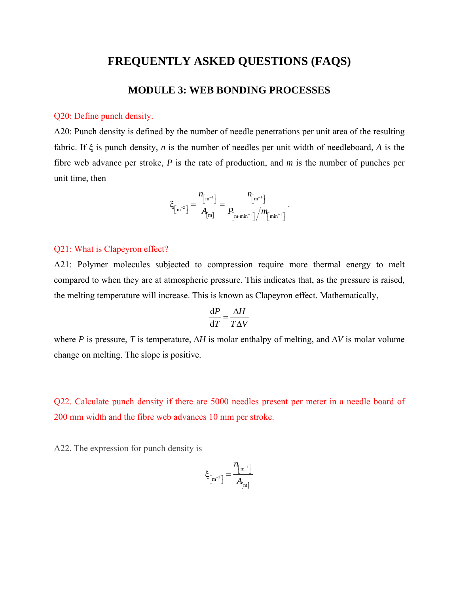## **FREQUENTLY ASKED QUESTIONS (FAQS)**

## **MODULE 3: WEB BONDING PROCESSES**

## Q20: Define punch density.

A20: Punch density is defined by the number of needle penetrations per unit area of the resulting fabric. If ξ is punch density, *n* is the number of needles per unit width of needleboard, *A* is the fibre web advance per stroke, *P* is the rate of production, and *m* is the number of punches per unit time, then

$$
\xi_{\left[\mathbf{m}^{-2}\right]} = \frac{n_{\left[\mathbf{m}^{-1}\right]}}{A_{\left[\mathbf{m}\right]}} = \frac{n_{\left[\mathbf{m}^{-1}\right]}}{P_{\left[\mathbf{m}\cdot\mathbf{m}\mathbf{m}^{-1}\right]}/m_{\left[\mathbf{m}\mathbf{m}^{-1}\right]}}\,.
$$

## Q21: What is Clapeyron effect?

A21: Polymer molecules subjected to compression require more thermal energy to melt compared to when they are at atmospheric pressure. This indicates that, as the pressure is raised, the melting temperature will increase. This is known as Clapeyron effect. Mathematically,

$$
\frac{\text{d}P}{\text{d}T} = \frac{\Delta H}{T\Delta V}
$$

where *P* is pressure, *T* is temperature,  $\Delta H$  is molar enthalpy of melting, and  $\Delta V$  is molar volume change on melting. The slope is positive.

Q22. Calculate punch density if there are 5000 needles present per meter in a needle board of 200 mm width and the fibre web advances 10 mm per stroke.

A22. The expression for punch density is

$$
\xi_{\left[m^{-2}\right]} = \frac{n_{\left[m^{-1}\right]}}{A_{\left[m\right]}}
$$